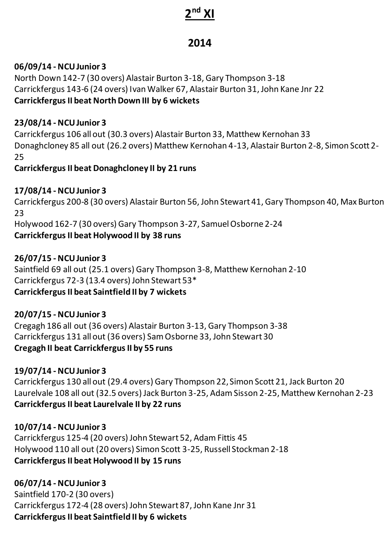# **2 nd XI**

# **2014**

### **06/09/14 - NCU Junior 3**

North Down 142-7 (30 overs) Alastair Burton 3-18, Gary Thompson 3-18 Carrickfergus 143-6 (24 overs) Ivan Walker 67, Alastair Burton 31, John Kane Jnr 22 **Carrickfergus II beat North Down III by 6 wickets** 

#### **23/08/14 - NCU Junior 3**

Carrickfergus 106 all out (30.3 overs) Alastair Burton 33, Matthew Kernohan 33 Donaghcloney 85 all out (26.2 overs) Matthew Kernohan 4-13, Alastair Burton 2-8, Simon Scott 2- 25

#### **Carrickfergus II beat Donaghcloney II by 21 runs**

### **17/08/14 - NCU Junior 3**

Carrickfergus 200-8 (30 overs) Alastair Burton 56, John Stewart 41, Gary Thompson 40, Max Burton 23 Holywood 162-7 (30 overs) Gary Thompson 3-27, Samuel Osborne 2-24 **Carrickfergus II beat Holywood II by 38 runs** 

#### **26/07/15 - NCU Junior 3**

Saintfield 69 all out (25.1 overs) Gary Thompson 3-8, Matthew Kernohan 2-10 Carrickfergus 72-3 (13.4 overs) John Stewart 53\* **Carrickfergus II beat Saintfield II by 7 wickets** 

# **20/07/15 - NCU Junior 3**

Cregagh 186 all out (36 overs) Alastair Burton 3-13, Gary Thompson 3-38 Carrickfergus 131 all out (36 overs) Sam Osborne 33, John Stewart 30 **Cregagh II beat Carrickfergus II by 55 runs** 

# **19/07/14 - NCU Junior 3**

Carrickfergus 130 all out (29.4 overs) Gary Thompson 22, Simon Scott 21, Jack Burton 20 Laurelvale 108 all out (32.5 overs) Jack Burton 3-25, Adam Sisson 2-25, Matthew Kernohan 2-23 **Carrickfergus II beat Laurelvale II by 22 runs** 

#### **10/07/14 - NCU Junior 3**

Carrickfergus 125-4 (20 overs) John Stewart 52, Adam Fittis 45 Holywood 110 all out (20 overs) Simon Scott 3-25, Russell Stockman 2-18 **Carrickfergus II beat Holywood II by 15 runs** 

# **06/07/14 - NCU Junior 3**

Saintfield 170-2 (30 overs) Carrickfergus 172-4 (28 overs) John Stewart 87, John Kane Jnr 31 **Carrickfergus II beat Saintfield II by 6 wickets**